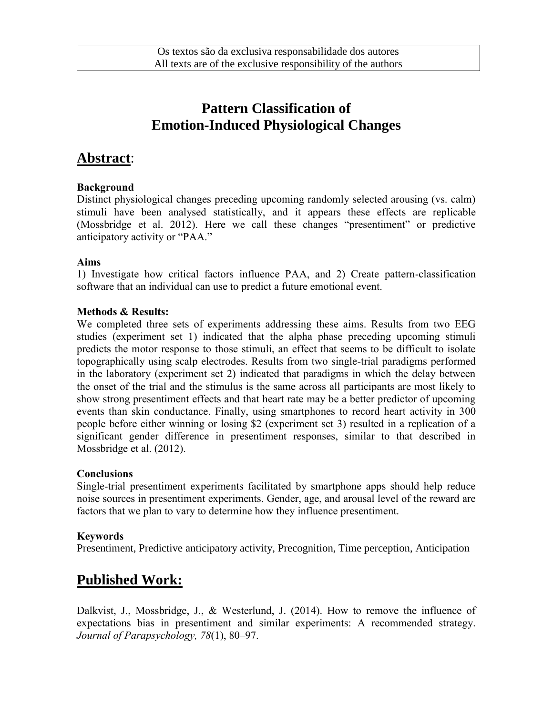# **Pattern Classification of Emotion-Induced Physiological Changes**

### **Abstract**:

#### **Background**

Distinct physiological changes preceding upcoming randomly selected arousing (vs. calm) stimuli have been analysed statistically, and it appears these effects are replicable (Mossbridge et al. 2012). Here we call these changes "presentiment" or predictive anticipatory activity or "PAA."

### **Aims**

1) Investigate how critical factors influence PAA, and 2) Create pattern-classification software that an individual can use to predict a future emotional event.

### **Methods & Results:**

We completed three sets of experiments addressing these aims. Results from two EEG studies (experiment set 1) indicated that the alpha phase preceding upcoming stimuli predicts the motor response to those stimuli, an effect that seems to be difficult to isolate topographically using scalp electrodes. Results from two single-trial paradigms performed in the laboratory (experiment set 2) indicated that paradigms in which the delay between the onset of the trial and the stimulus is the same across all participants are most likely to show strong presentiment effects and that heart rate may be a better predictor of upcoming events than skin conductance. Finally, using smartphones to record heart activity in 300 people before either winning or losing \$2 (experiment set 3) resulted in a replication of a significant gender difference in presentiment responses, similar to that described in Mossbridge et al. (2012).

#### **Conclusions**

Single-trial presentiment experiments facilitated by smartphone apps should help reduce noise sources in presentiment experiments. Gender, age, and arousal level of the reward are factors that we plan to vary to determine how they influence presentiment.

#### **Keywords**

Presentiment, Predictive anticipatory activity, Precognition, Time perception, Anticipation

# **Published Work:**

Dalkvist, J., Mossbridge, J., & Westerlund, J. (2014). How to remove the influence of expectations bias in presentiment and similar experiments: A recommended strategy. *Journal of Parapsychology, 78*(1), 80–97.